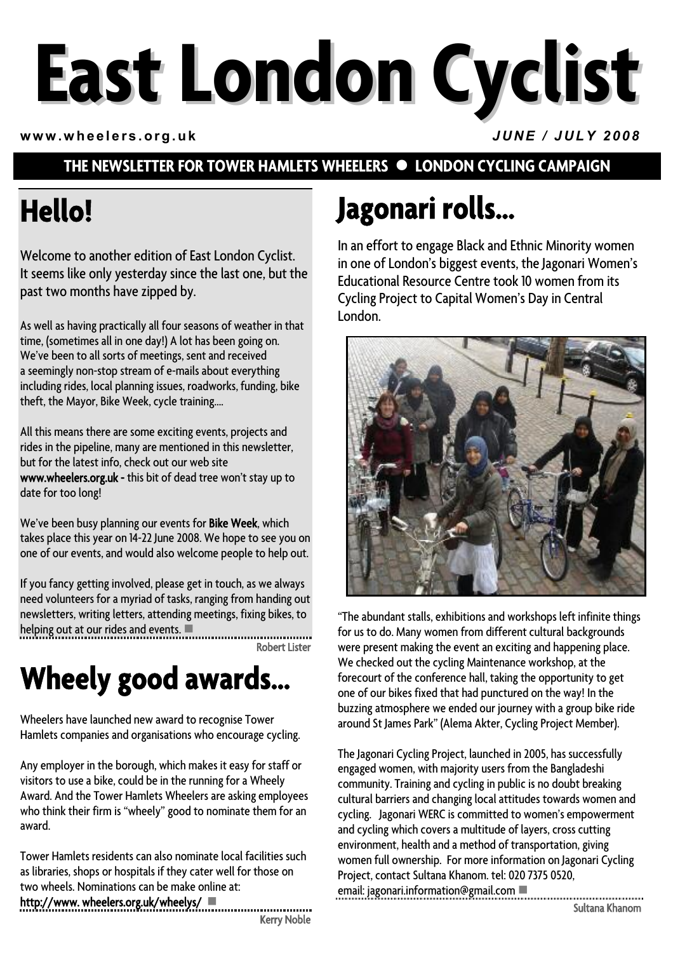# **East London Cyclist**

**www.wheelers.org.uk** *JUNE / JULY 2008*

#### **THE NEWSLETTER FOR TOWER HAMLETS WHEELERS**  $\bullet$  **LONDON CYCLING CAMPAIGN**

## **Hello!**

Welcome to another edition of East London Cyclist. It seems like only yesterday since the last one, but the past two months have zipped by.

As well as having practically all four seasons of weather in that time, (sometimes all in one day!) A lot has been going on. We've been to all sorts of meetings, sent and received a seemingly non-stop stream of e-mails about everything including rides, local planning issues, roadworks, funding, bike theft, the Mayor, Bike Week, cycle training….

All this means there are some exciting events, projects and rides in the pipeline, many are mentioned in this newsletter, but for the latest info, check out our web site www.wheelers.org.uk - this bit of dead tree won't stay up to date for too long!

We've been busy planning our events for Bike Week, which takes place this year on 14-22 June 2008. We hope to see you on one of our events, and would also welcome people to help out.

If you fancy getting involved, please get in touch, as we always need volunteers for a myriad of tasks, ranging from handing out newsletters, writing letters, attending meetings, fixing bikes, to helping out at our rides and events.  $\blacksquare$ 

Robert Lister

## **Wheely good awards…**

Wheelers have launched new award to recognise Tower Hamlets companies and organisations who encourage cycling.

Any employer in the borough, which makes it easy for staff or visitors to use a bike, could be in the running for a Wheely Award. And the Tower Hamlets Wheelers are asking employees who think their firm is "wheely" good to nominate them for an award.

Tower Hamlets residents can also nominate local facilities such as libraries, shops or hospitals if they cater well for those on two wheels. Nominations can be make online at:

#### http://www. wheelers.org.uk/wheelys/

Kerry Noble

## **Jagonari rolls…**

In an effort to engage Black and Ethnic Minority women in one of London's biggest events, the Jagonari Women's Educational Resource Centre took 10 women from its Cycling Project to Capital Women's Day in Central London.



"The abundant stalls, exhibitions and workshops left infinite things for us to do. Many women from different cultural backgrounds were present making the event an exciting and happening place. We checked out the cycling Maintenance workshop, at the forecourt of the conference hall, taking the opportunity to get one of our bikes fixed that had punctured on the way! In the buzzing atmosphere we ended our journey with a group bike ride around St James Park" (Alema Akter, Cycling Project Member).

The Jagonari Cycling Project, launched in 2005, has successfully engaged women, with majority users from the Bangladeshi community. Training and cycling in public is no doubt breaking cultural barriers and changing local attitudes towards women and cycling. Jagonari WERC is committed to women's empowerment and cycling which covers a multitude of layers, cross cutting environment, health and a method of transportation, giving women full ownership. For more information on Jagonari Cycling Project, contact Sultana Khanom. tel: 020 7375 0520, email: jagonari.information@gmail.com  $\blacksquare$ 

Sultana Khanom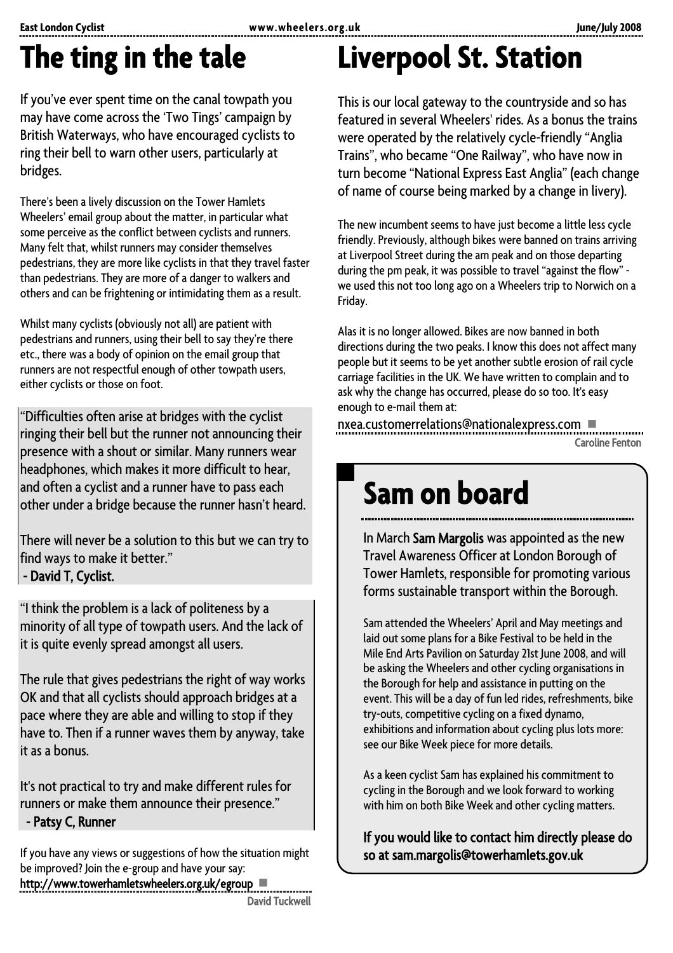## **The ting in the tale**

If you've ever spent time on the canal towpath you may have come across the 'Two Tings' campaign by British Waterways, who have encouraged cyclists to ring their bell to warn other users, particularly at bridges.

There's been a lively discussion on the Tower Hamlets Wheelers' email group about the matter, in particular what some perceive as the conflict between cyclists and runners. Many felt that, whilst runners may consider themselves pedestrians, they are more like cyclists in that they travel faster than pedestrians. They are more of a danger to walkers and others and can be frightening or intimidating them as a result.

Whilst many cyclists (obviously not all) are patient with pedestrians and runners, using their bell to say they're there etc., there was a body of opinion on the email group that runners are not respectful enough of other towpath users, either cyclists or those on foot.

"Difficulties often arise at bridges with the cyclist ringing their bell but the runner not announcing their presence with a shout or similar. Many runners wear headphones, which makes it more difficult to hear, and often a cyclist and a runner have to pass each other under a bridge because the runner hasn't heard.

There will never be a solution to this but we can try to find ways to make it better." - David T, Cyclist.

"I think the problem is a lack of politeness by a minority of all type of towpath users. And the lack of it is quite evenly spread amongst all users.

The rule that gives pedestrians the right of way works OK and that all cyclists should approach bridges at a pace where they are able and willing to stop if they have to. Then if a runner waves them by anyway, take it as a bonus.

It's not practical to try and make different rules for runners or make them announce their presence." - Patsy C, Runner

If you have any views or suggestions of how the situation might be improved? Join the e-group and have your say:

http://www.towerhamletswheelers.org.uk/egroup David Tuckwell

## **Liverpool St. Station**

This is our local gateway to the countryside and so has featured in several Wheelers' rides. As a bonus the trains were operated by the relatively cycle-friendly "Anglia Trains", who became "One Railway", who have now in turn become "National Express East Anglia" (each change of name of course being marked by a change in livery).

The new incumbent seems to have just become a little less cycle friendly. Previously, although bikes were banned on trains arriving at Liverpool Street during the am peak and on those departing during the pm peak, it was possible to travel "against the flow" we used this not too long ago on a Wheelers trip to Norwich on a Friday.

Alas it is no longer allowed. Bikes are now banned in both directions during the two peaks. I know this does not affect many people but it seems to be yet another subtle erosion of rail cycle carriage facilities in the UK. We have written to complain and to ask why the change has occurred, please do so too. It's easy enough to e-mail them at:

nxea.customerrelations@nationalexpress.com Caroline Fenton

## **Sam on board**

In March Sam Margolis was appointed as the new Travel Awareness Officer at London Borough of Tower Hamlets, responsible for promoting various forms sustainable transport within the Borough.

Sam attended the Wheelers' April and May meetings and laid out some plans for a Bike Festival to be held in the Mile End Arts Pavilion on Saturday 21st June 2008, and will be asking the Wheelers and other cycling organisations in the Borough for help and assistance in putting on the event. This will be a day of fun led rides, refreshments, bike try-outs, competitive cycling on a fixed dynamo, exhibitions and information about cycling plus lots more: see our Bike Week piece for more details.

As a keen cyclist Sam has explained his commitment to cycling in the Borough and we look forward to working with him on both Bike Week and other cycling matters.

If you would like to contact him directly please do so at sam.margolis@towerhamlets.gov.uk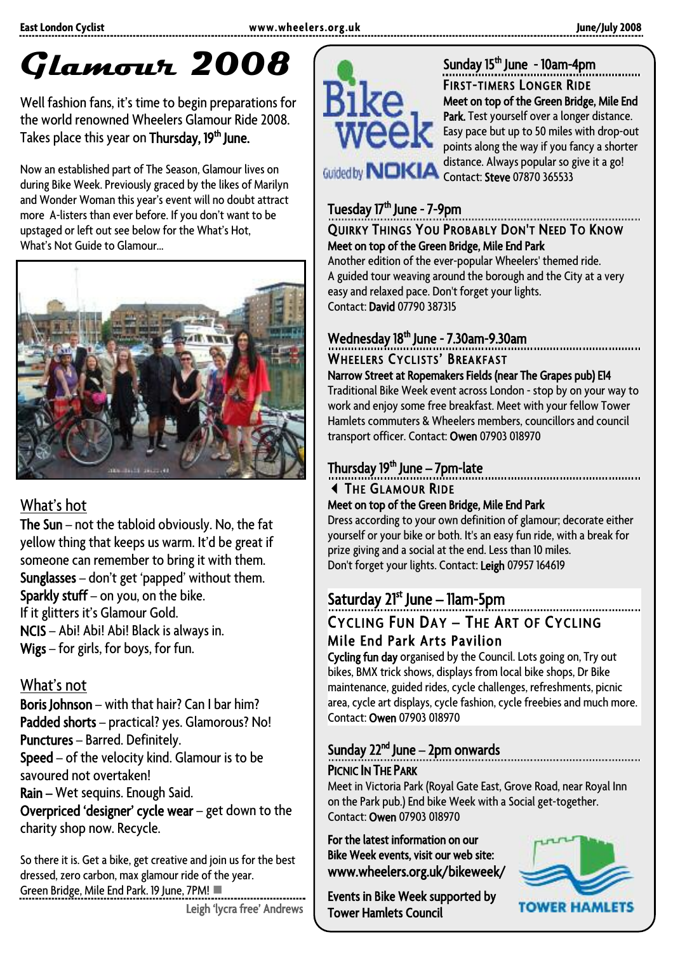## **Glamour 2008**

Well fashion fans, it's time to begin preparations for the world renowned Wheelers Glamour Ride 2008. Takes place this year on Thursday, 19<sup>th</sup> June.

Now an established part of The Season, Glamour lives on during Bike Week. Previously graced by the likes of Marilyn and Wonder Woman this year's event will no doubt attract more A-listers than ever before. If you don't want to be upstaged or left out see below for the What's Hot, What's Not Guide to Glamour…



#### What's hot

The Sun – not the tabloid obviously. No, the fat yellow thing that keeps us warm. It'd be great if someone can remember to bring it with them. Sunglasses – don't get 'papped' without them. Sparkly stuff – on you, on the bike. If it glitters it's Glamour Gold. NCIS – Abi! Abi! Abi! Black is always in. Wigs – for girls, for boys, for fun.

#### What's not

Boris Johnson – with that hair? Can I bar him? Padded shorts – practical? yes. Glamorous? No! Punctures – Barred. Definitely. Speed – of the velocity kind. Glamour is to be savoured not overtaken! Rain – Wet sequins. Enough Said. Overpriced 'designer' cycle wear – get down to the charity shop now. Recycle.

So there it is. Get a bike, get creative and join us for the best dressed, zero carbon, max glamour ride of the year. Green Bridge, Mile End Park. 19 June, 7PM!





Sunday 15<sup>th</sup> June - 10am-4pm FIRST-TIMERS LONGER RIDE Meet on top of the Green Bridge, Mile End Park. Test yourself over a longer distance. Easy pace but up to 50 miles with drop-out points along the way if you fancy a shorter distance. Always popular so give it a go! Contact: Steve 07870 365533

#### Tuesday 17<sup>th</sup> June - 7-9pm QUIRKY THINGS YOU PROBABLY DON'T NEED TO KNOW Meet on top of the Green Bridge, Mile End Park

Another edition of the ever-popular Wheelers' themed ride. A guided tour weaving around the borough and the City at a very easy and relaxed pace. Don't forget your lights. Contact: David 07790 387315

#### Wednesday 18<sup>th</sup> June - 7.30am-9.30am

## WHEELERS CYCLISTS' BREAKFAST Narrow Street at Ropemakers Fields (near The Grapes pub) E14

Traditional Bike Week event across London - stop by on your wayto work and enjoy some free breakfast. Meet with your fellow Tower Hamlets commuters & Wheelers members, councillors and council transport officer. Contact: Owen 07903 018970

#### Thursday 19<sup>th</sup> June - 7pm-late

## THE GLAMOUR RIDE Meet on top of the Green Bridge, Mile End Park

Dress according to your own definition of glamour; decorate either yourself or your bike or both. It's an easy fun ride, with a break for prize giving and a social at the end. Less than 10 miles. Don't forget your lights. Contact: Leigh 07957 164619

#### Saturday 21<sup>st</sup> June – 11am-5pm

## CYCLING FUN DAY – THE ART OF CYCLING Mile End Park Arts Pavilion

Cycling fun day organised by the Council. Lots going on, Try out bikes, BMX trick shows, displays from local bike shops, Dr Bike maintenance, guided rides, cycle challenges, refreshments, picnic area, cycle art displays, cycle fashion, cycle freebies and much more. Contact: Owen 07903 018970

## Sunday  $22^{nd}$  June – 2pm onwards

PICNIC **IN THE PARK**<br>Meet in Victoria Park (Royal Gate East, Grove Road, near Royal Inn on the Park pub.) End bike Week with a Social get-together. Contact: Owen 07903 018970

For the latest information on our Bike Week events, visit our web site: www.wheelers.org.uk/bikeweek/

Events in Bike Week supported by Tower Hamlets Council